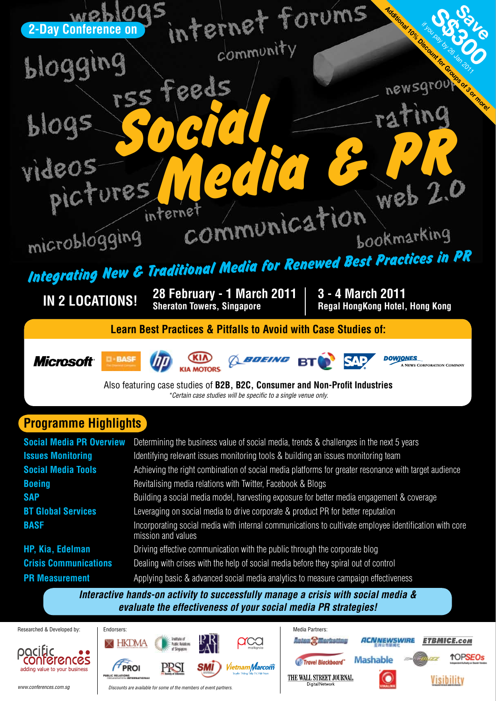

*Interactive hands-on activity to successfully manage a crisis with social media & evaluate the effectiveness of your social media PR strategies!* 

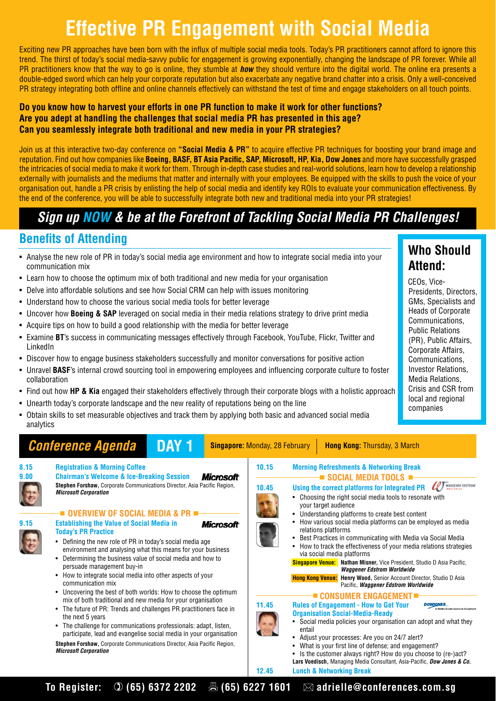# **Effective PR Engagement with Social Media**

Exciting new PR approaches have been born with the influx of multiple social media tools. Today's PR practitioners cannot afford to ignore this trend. The thirst of today's social media-savvy public for engagement is growing exponentially, changing the landscape of PR forever. While all PR practitioners know that the way to go is online, they stumble at *how* they should venture into the digital world. The online era presents a double-edged sword which can help your corporate reputation but also exacerbate any negative brand chatter into a crisis. Only a well-conceived PR strategy integrating both offline and online channels effectively can withstand the test of time and engage stakeholders on all touch points.

### **Do you know how to harvest your efforts in one PR function to make it work for other functions? Are you adept at handling the challenges that social media PR has presented in this age? Can you seamlessly integrate both traditional and new media in your PR strategies?**

Join us at this interactive two-day conference on **"Social Media & PR"** to acquire effective PR techniques for boosting your brand image and reputation. Find out how companies like **Boeing, BASF, BT Asia Pacific, SAP, Microsoft, HP, Kia, Dow Jones** and more have successfully grasped the intricacies of social media to make it work for them. Through in-depth case studies and real-world solutions, learn how to develop a relationship externally with journalists and the mediums that matter and internally with your employees. Be equipped with the skills to push the voice of your organisation out, handle a PR crisis by enlisting the help of social media and identify key ROIs to evaluate your communication effectiveness. By the end of the conference, you will be able to successfully integrate both new and traditional media into your PR strategies!

### *Sign up NOW & be at the Forefront of Tackling Social Media PR Challenges!*

### **Benefits of Attending**

- Analyse the new role of PR in today's social media age environment and how to integrate social media into your communication mix
- Learn how to choose the optimum mix of both traditional and new media for your organisation
- Delve into affordable solutions and see how Social CRM can help with issues monitoring
- Understand how to choose the various social media tools for better leverage
- • Uncover how **Boeing & SAP** leveraged on social media in their media relations strategy to drive print media
- Acquire tips on how to build a good relationship with the media for better leverage
- • Examine **BT**'s success in communicating messages effectively through Facebook, YouTube, Flickr, Twitter and LinkedIn
- Discover how to engage business stakeholders successfully and monitor conversations for positive action
- • Unravel **BASF**'s internal crowd sourcing tool in empowering employees and influencing corporate culture to foster collaboration
- Find out how **HP & Kia** engaged their stakeholders effectively through their corporate blogs with a holistic approach
- Unearth today's corporate landscape and the new reality of reputations being on the line
- Obtain skills to set measurable objectives and track them by applying both basic and advanced social media analytics

#### **Conference Agenda DAY 1** Singapore: Monday, 28 February | Hong Kong: Thursday, 3 March **8.15 Registration & Morning Coffee 10.15 Morning Refreshments & Networking Break 9.00 Chairman's Welcome & Ice-Breaking Session Microsoft SOCIAL MEDIA TOOLS 10.45 Using the correct platforms for Integrated PR**  $QT$ **Stephen Forshaw,** Corporate Communications Director, Asia Pacific Region, *Microsoft Corporation*  • Choosing the right social media tools to resonate with your target audience **OVERVIEW OF SOCIAL MEDIA & PR** Understanding platforms to create best content **9.15 Establishing the Value of Social Media in** How various social media platforms can be employed as media **Microsoft** relations platforms **Today's PR Practice** Best Practices in communicating with Media via Social Media • Defining the new role of PR in today's social media age How to track the effectiveness of your media relations strategies environment and analysing what this means for your business via social media platforms • Determining the business value of social media and how to **Singapore Venue: Nathan Misner,** Vice President, Studio D Asia Pacific, persuade management buy-in *Waggener Edstrom Worldwide* How to integrate social media into other aspects of your **Hong Kong Venue: Henry Wood,** Senior Account Director, Studio D Asia communication mix Pacific, *Waggener Edstrom Worldwide* • Uncovering the best of both worlds: How to choose the optimum **E CONSUMER ENGAGEMENT** mix of both traditional and new media for your organisation **11.45 Rules of Engagement - How to Get Your DOWJONES** • The future of PR: Trends and challenges PR practitioners face in **Organisation Social-Media-Ready** the next 5 years Social media policies your organisation can adopt and what they The challenge for communications professionals: adapt, listen, entail participate, lead and evangelise social media in your organisation Adjust your processes: Are you on 24/7 alert? **Stephen Forshaw,** Corporate Communications Director, Asia Pacific Region, What is your first line of defense; and engagement? *Microsoft Corporation* • Is the customer always right? How do you choose to (re-)act? **Lars Voedisch,** Managing Media Consultant, Asia-Pacific, *Dow Jones & Co.* **12.45 Lunch & Networking Break**

### **Who Should Attend:**

CEOs, Vice-Presidents, Directors, GMs, Specialists and Heads of Corporate Communications, Public Relations (PR), Public Affairs, Corporate Affairs, Communications, Investor Relations, Media Relations, Crisis and CSR from local and regional companies

To Register: ① (65) 6372 2202 **Adder Adder Adden Adden** adrielle@conferences.com.sg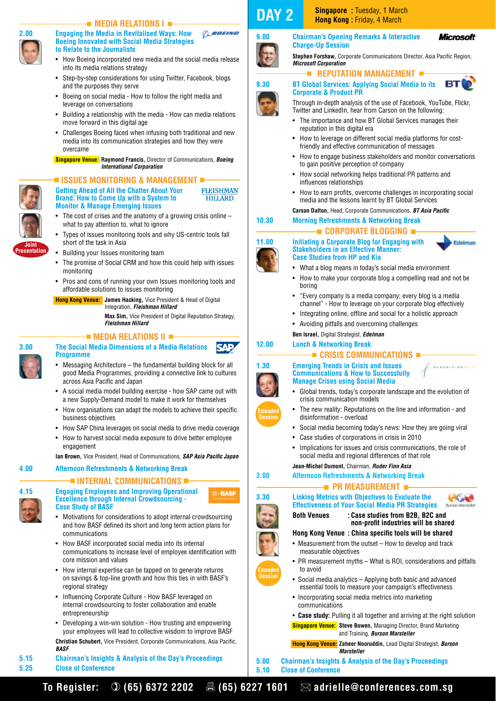

#### **MEDIA RELATIONS I BOEING 2.00 Engaging the Media in Revitalised Ways: How Boeing Innovated with Social Media Strategies to Relate to the Journalists**

- How Boeing incorporated new media and the social media release into its media relations strategy
- Step-by-step considerations for using Twitter, Facebook, blogs and the purposes they serve
- Boeing on social media How to follow the right media and leverage on conversations
- Building a relationship with the media How can media relations move forward in this digital age
- Challenges Boeing faced when infusing both traditional and new media into its communication strategies and how they were overcame

 **Singapore Venue: Raymond Francis,** Director of Communications, *Boeing International Corporation*

#### **ISSUES MONITORING & MANAGEMENT Getting Ahead of All the Chatter About Your**



**Presentation**

**FLEISHMAN Brand: How to Come Up with a System to HILLARD Monitor & Manage Emerging Issues**

- The cost of crises and the anatomy of a growing crisis online  $$ what to pay attention to, what to ignore
- Types of issues monitoring tools and why US-centric tools fall short of the task in Asia
- Building your Issues monitoring team
- The promise of Social CRM and how this could help with issues monitoring
- Pros and cons of running your own Issues monitoring tools and affordable solutions to issues monitoring

 **Hong Kong Venue: James Hacking,** Vice President & Head of Digital Integration, *Fleishman Hillard*

 **Max Sim,** Vice President of Digital Reputation Strategy, *Fleishman Hillard*

#### **MEDIA RELATIONS II =**



#### **3.00 The Social Media Dimensions of a Media Relations Programme**

- Messaging Architecture the fundamental building block for all good Media Programmes, providing a connective link to cultures across Asia Pacific and Japan
- A social media model building exercise how SAP came out with a new Supply-Demand model to make it work for themselves
- How organisations can adapt the models to achieve their specific business objectives
- How SAP China leverages on social media to drive media coverage
- How to harvest social media exposure to drive better employee engagement

**Ian Brown,** Vice President, Head of Communications, *SAP Asia Pacific Japan*

#### **4.00 Afternoon Refreshments & Networking Break**

#### **INTERNAL COMMUNICATIONS**



**4.15 Engaging Employees and Improving Operational Excellence through Internal Crowdsourcing - Case Study of BASF**

- • Motivations for considerations to adopt internal crowdsourcing and how BASF defined its short and long term action plans for communications
- How BASF incorporated social media into its internal communications to increase level of employee identification with core mission and values
- How internal expertise can be tapped on to generate returns on savings & top-line growth and how this ties in with BASF's regional strategy
- Influencing Corporate Culture How BASF leveraged on internal crowdsourcing to foster collaboration and enable entrepreneurship
- Developing a win-win solution How trusting and empowering your employees will lead to collective wisdom to improve BASF
- **Christian Schubert,** Vice President, Corporate Communications, Asia Pacific, *BASF*
- **5.15 Chairman's Insights & Analysis of the Day's Proceedings 5.25 Close of Conference**

## **DAY 2 Singapore :** Tuesday, 1 March



**9.00 Chairman's Opening Remarks & Interactive Charge-Up Session**

**Stephen Forshaw,** Corporate Communications Director, Asia Pacific Region, *Microsoft Corporation* 

**Microsoft** 

вт

Edelman

#### **REPUTATION MANAGEMENT**



#### **Corporate & Product PR** Through in-depth analysis of the use of Facebook, YouTube, Flickr,

- Twitter and LinkedIn, hear from Carson on the following: • The importance and how BT Global Services manages their
- reputation in this digital era How to leverage on different social media platforms for costfriendly and effective communication of messages
- How to engage business stakeholders and monitor conversations to gain positive perception of company
- How social networking helps traditional PR patterns and influences relationships
- How to earn profits, overcome challenges in incorporating social media and the lessons learnt by BT Global Services

**Carson Dalton,** Head, Corporate Communications, *BT Asia Pacific*

#### **10.30 Morning Refreshments & Networking Break**

#### **= corporate blogging =**

**11.00 Initiating a Corporate Blog for Engaging with Stakeholders in an Effective Manner: Case Studies from HP and Kia**

- What a blog means in today's social media environment
- How to make your corporate blog a compelling read and not be boring
- • "Every company is a media company; every blog is a media channel" - How to leverage on your corporate blog effectively
- Integrating online, offline and social for a holistic approach
- • Avoiding pitfalls and overcoming challenges
- **Ben Israel,** Digital Strategist, *Edelman*

**12.00 Lunch & Networking Break**

#### **CRISIS COMMUNICATIONS =**

#### **1.30 Emerging Trends in Crisis and Issues Communications & How to Successfully Manage Crises using Social Media**

- • Global trends, today's corporate landscape and the evolution of crisis communication models
- The new reality: Reputations on the line and information and disinformation - overload
- Social media becoming today's news: How they are going viral
- • Case studies of corporations in crisis in 2010
- Implications for issues and crisis communications, the role of social media and regional differences of that role

#### **Jean-Michel Dumont,** Chairman, *Ruder Finn Asia*

#### **3.00 Afternoon Refreshments & Networking Break**

#### **PR MEASUREMENT**  $\blacksquare$





RUDER-FINNASI.

#### **Both Venues : Case studies from B2B, B2C and non-profit industries will be shared**

#### **Hong Kong Venue : China specific tools will be shared**

- Measurement from the outset How to develop and track measurable objectives
- PR measurement myths What is ROI, considerations and pitfalls to avoid
- Social media analytics  $-$  Applying both basic and advanced essential tools to measure your campaign's effectiveness
- Incorporating social media metrics into marketing communications
- • **Case study:** Pulling it all together and arriving at the right solution
- **Singapore Venue: Steve Bowen,** Managing Director, Brand Marketing and Training, *Burson Marsteller*

 **Hong Kong Venue: Zaheer Nooruddin,** Lead Digital Strategist, *Burson Marsteller* 

**5.00 Chairman's Insights & Analysis of the Day's Proceedings 5.10 Close of Conference**



**Extended Session**







**Extended Session**







**SAP**